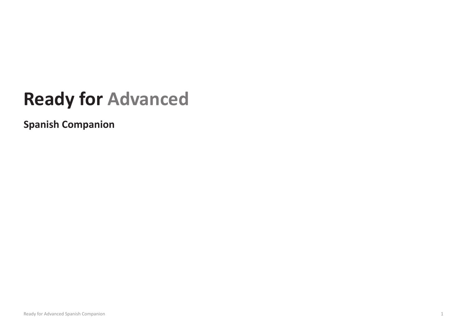## **Ready for Advanced**

**Spanish Companion**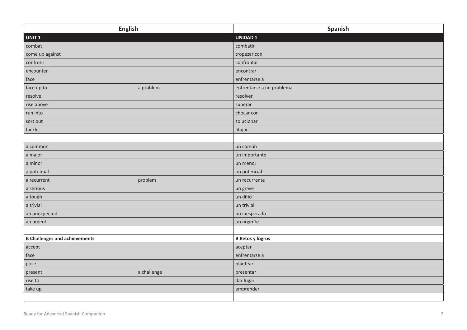| <b>English</b>                       | Spanish                   |
|--------------------------------------|---------------------------|
| UNIT <sub>1</sub>                    | <b>UNIDAD1</b>            |
| combat                               | combatir                  |
| come up against                      | tropezar con              |
| confront                             | confrontar                |
| encounter                            | encontrar                 |
| face                                 | enfrentarse a             |
| face up to<br>a problem              | enfrentarse a un problema |
| resolve                              | resolver                  |
| rise above                           | superar                   |
| run into                             | chocar con                |
| sort out                             | solucionar                |
| tackle                               | atajar                    |
|                                      |                           |
| a common                             | un común                  |
| a major                              | un importante             |
| a minor                              | un menor                  |
| a potential                          | un potencial              |
| problem<br>a recurrent               | un recurrente             |
| a serious                            | un grave                  |
| a tough                              | un difícil                |
| a trivial                            | un trivial                |
| an unexpected                        | un inesperado             |
| an urgent                            | un urgente                |
|                                      |                           |
| <b>B Challenges and achievements</b> | <b>B Retos y logros</b>   |
| accept                               | aceptar                   |
| face                                 | enfrentarse a             |
| pose                                 | plantear                  |
| a challenge<br>present               | presentar                 |
| rise to                              | dar lugar                 |
| take up                              | emprender                 |
|                                      |                           |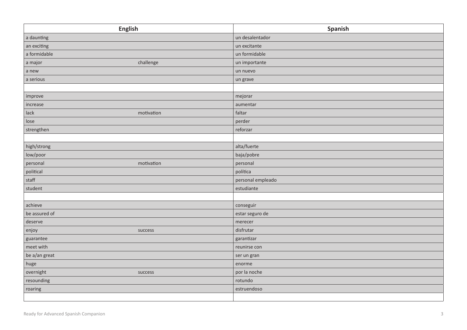| <b>English</b>         | Spanish           |
|------------------------|-------------------|
| a daunting             | un desalentador   |
| an exciting            | un excitante      |
| a formidable           | un formidable     |
| challenge<br>a major   | un importante     |
| a new                  | un nuevo          |
| a serious              | un grave          |
|                        |                   |
| improve                | mejorar           |
| increase               | aumentar          |
| motivation<br>lack     | faltar            |
| lose                   | perder            |
| strengthen             | reforzar          |
|                        |                   |
| high/strong            | alta/fuerte       |
| low/poor               | baja/pobre        |
| motivation<br>personal | personal          |
| political              | política          |
| stat                   | personal empleado |
| student                | estudiante        |
|                        |                   |
| achieve                | conseguir         |
| be assured of          | estar seguro de   |
| deserve                | merecer           |
| enjoy<br>success       | disfrutar         |
| guarantee              | garantizar        |
| meet with              | reunirse con      |
| be a/an great          | ser un gran       |
| huge                   | enorme            |
| overnight<br>success   | por la noche      |
| resounding             | rotundo           |
| roaring                | estruendoso       |
|                        |                   |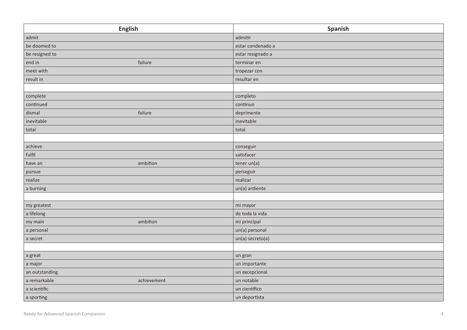| <b>English</b>              | Spanish           |
|-----------------------------|-------------------|
| admit                       | admitir           |
| be doomed to                | estar condenado a |
| be resigned to              | estar resignado a |
| failure<br>end in           | terminar en       |
| meet with                   | tropezar con      |
| result in                   | resultar en       |
|                             |                   |
| complete                    | completo          |
| continued                   | continuo          |
| dismal<br>failure           | deprimente        |
| inevitable                  | inevitable        |
| total                       | total             |
|                             |                   |
| achieve                     | conseguir         |
| fulfil                      | satisfacer        |
| ambition<br>have an         | tener un(a)       |
| pursue                      | perseguir         |
| realize                     | realizar          |
| a burning                   | un(a) ardiente    |
|                             |                   |
| my greatest                 | mi mayor          |
| a lifelong                  | de toda la vida   |
| ambition<br>my main         | mi principal      |
| a personal                  | un(a) personal    |
| a secret                    | un(a) secreto(a)  |
|                             |                   |
| a great                     | un gran           |
| a major                     | un importante     |
| an outstanding              | un excepcional    |
| a remarkable<br>achievement | un notable        |
| a scientific                | un científico     |
| a sporting                  | un deportista     |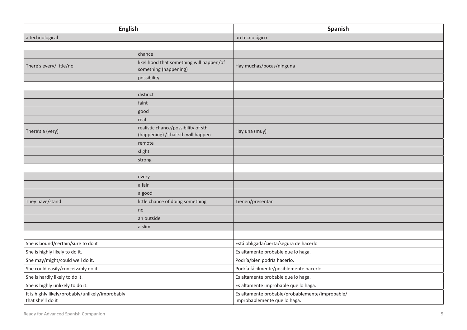| <b>English</b>                                                        |                                                                           | Spanish                                                                         |
|-----------------------------------------------------------------------|---------------------------------------------------------------------------|---------------------------------------------------------------------------------|
| a technological                                                       |                                                                           | un tecnológico                                                                  |
|                                                                       |                                                                           |                                                                                 |
|                                                                       | chance                                                                    |                                                                                 |
| There's every/little/no                                               | likelihood that something will happen/of<br>something (happening)         | Hay muchas/pocas/ninguna                                                        |
|                                                                       | possibility                                                               |                                                                                 |
|                                                                       |                                                                           |                                                                                 |
|                                                                       | distinct                                                                  |                                                                                 |
|                                                                       | faint                                                                     |                                                                                 |
|                                                                       | good                                                                      |                                                                                 |
|                                                                       | real                                                                      |                                                                                 |
| There's a (very)                                                      | realistic chance/possibility of sth<br>(happening) / that sth will happen | Hay una (muy)                                                                   |
|                                                                       | remote                                                                    |                                                                                 |
|                                                                       | slight                                                                    |                                                                                 |
|                                                                       | strong                                                                    |                                                                                 |
|                                                                       |                                                                           |                                                                                 |
|                                                                       | every                                                                     |                                                                                 |
|                                                                       | a fair                                                                    |                                                                                 |
|                                                                       | a good                                                                    |                                                                                 |
| They have/stand                                                       | little chance of doing something                                          | Tienen/presentan                                                                |
|                                                                       | no                                                                        |                                                                                 |
|                                                                       | an outside                                                                |                                                                                 |
|                                                                       | a slim                                                                    |                                                                                 |
|                                                                       |                                                                           |                                                                                 |
| She is bound/certain/sure to do it                                    |                                                                           | Está obligada/cierta/segura de hacerlo                                          |
| She is highly likely to do it.                                        |                                                                           | Es altamente probable que lo haga.                                              |
| She may/might/could well do it.                                       |                                                                           | Podría/bien podría hacerlo.                                                     |
| She could easily/conceivably do it.                                   |                                                                           | Podría fácilmente/posiblemente hacerlo.                                         |
| She is hardly likely to do it.                                        |                                                                           | Es altamente probable que lo haga.                                              |
| She is highly unlikely to do it.                                      |                                                                           | Es altamente improbable que lo haga.                                            |
| It is highly likely/probably/unlikely/improbably<br>that she'll do it |                                                                           | Es altamente probable/probablemente/improbable/<br>improbablemente que lo haga. |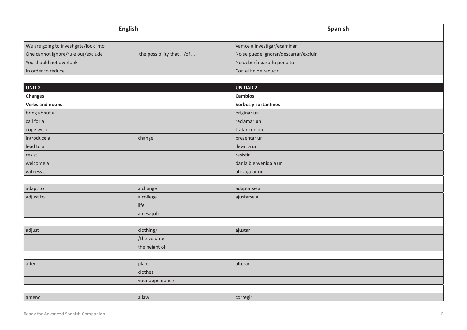| <b>English</b>                        |                          | Spanish                               |
|---------------------------------------|--------------------------|---------------------------------------|
|                                       |                          |                                       |
| We are going to investigate/look into |                          | Vamos a investigar/examinar           |
| One cannot ignore/rule out/exclude    | the possibility that /of | No se puede ignorar/descartar/excluir |
| You should not overlook               |                          | No debería pasarlo por alto           |
| In order to reduce                    |                          | Con el fin de reducir                 |
|                                       |                          |                                       |
| UNIT <sub>2</sub>                     |                          | <b>UNIDAD 2</b>                       |
| <b>Changes</b>                        |                          | <b>Cambios</b>                        |
| Verbs and nouns                       |                          | Verbos y sustantivos                  |
| bring about a                         |                          | originar un                           |
| call for a                            |                          | reclamar un                           |
| cope with                             |                          | tratar con un                         |
| introduce a                           | change                   | presentar un                          |
| lead to a                             |                          | llevar a un                           |
| resist                                |                          | resistir                              |
| welcome a                             |                          | dar la bienvenida a un                |
| witness a                             |                          | atestiguar un                         |
|                                       |                          |                                       |
| adapt to                              | a change                 | adaptarse a                           |
| adjust to                             | a college                | ajustarse a                           |
|                                       | life                     |                                       |
|                                       | a new job                |                                       |
|                                       |                          |                                       |
| adjust                                | clothing/                | ajustar                               |
|                                       | /the volume              |                                       |
|                                       | the height of            |                                       |
|                                       |                          |                                       |
| alter                                 | plans                    | alterar                               |
|                                       | clothes                  |                                       |
|                                       | your appearance          |                                       |
|                                       |                          |                                       |
| amend                                 | a law                    | corregir                              |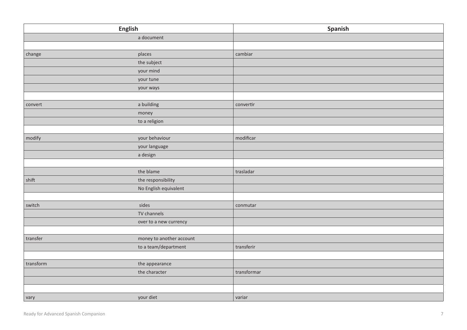|           | English                  | Spanish     |
|-----------|--------------------------|-------------|
|           | a document               |             |
|           |                          |             |
| change    | places                   | cambiar     |
|           | the subject              |             |
|           | your mind                |             |
|           | your tune                |             |
|           | your ways                |             |
|           |                          |             |
| convert   | a building               | convertir   |
|           | money                    |             |
|           | to a religion            |             |
|           |                          |             |
| modify    | your behaviour           | modificar   |
|           | your language            |             |
|           | a design                 |             |
|           |                          |             |
|           | the blame                | trasladar   |
| shift     | the responsibility       |             |
|           | No English equivalent    |             |
|           |                          |             |
| switch    | sides                    | conmutar    |
|           | TV channels              |             |
|           | over to a new currency   |             |
|           |                          |             |
| transfer  | money to another account |             |
|           | to a team/department     | transferir  |
|           |                          |             |
| transform | the appearance           |             |
|           | the character            | transformar |
|           |                          |             |
|           |                          |             |
| vary      | your diet                | variar      |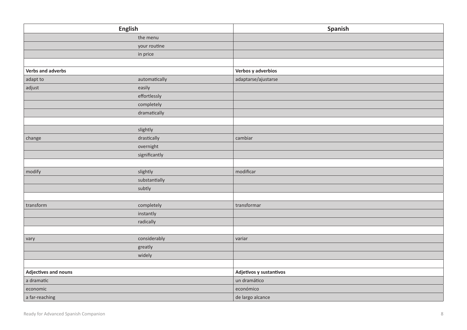| <b>English</b>       |               | Spanish                 |
|----------------------|---------------|-------------------------|
|                      | the menu      |                         |
|                      | your routine  |                         |
|                      | in price      |                         |
|                      |               |                         |
| Verbs and adverbs    |               | Verbos y adverbios      |
| adapt to             | automatically | adaptarse/ajustarse     |
| adjust               | easily        |                         |
|                      | effortlessly  |                         |
|                      | completely    |                         |
|                      | dramatically  |                         |
|                      |               |                         |
|                      | slightly      |                         |
| change               | drastically   | cambiar                 |
|                      | overnight     |                         |
|                      | significantly |                         |
|                      |               |                         |
| modify               | slightly      | modificar               |
|                      | substantially |                         |
|                      | subtly        |                         |
|                      |               |                         |
| transform            | completely    | transformar             |
|                      | instantly     |                         |
|                      | radically     |                         |
|                      |               |                         |
| vary                 | considerably  | variar                  |
|                      | greatly       |                         |
|                      | widely        |                         |
|                      |               |                         |
| Adjectives and nouns |               | Adjetivos y sustantivos |
| a dramatic           |               | un dramático            |
| economic             |               | económico               |
| a far-reaching       |               | de largo alcance        |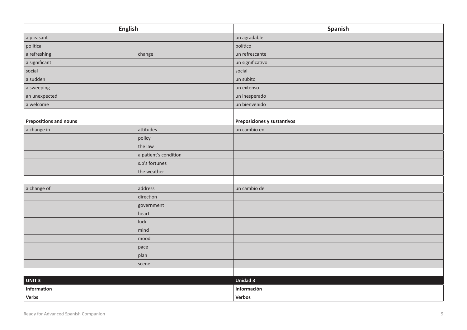|                               | <b>English</b>        | Spanish                     |
|-------------------------------|-----------------------|-----------------------------|
| a pleasant                    |                       | un agradable                |
| political                     |                       | político                    |
| a refreshing                  | change                | un refrescante              |
| a significant                 |                       | un significativo            |
| social                        |                       | social                      |
| a sudden                      |                       | un súbito                   |
| a sweeping                    |                       | un extenso                  |
| an unexpected                 |                       | un inesperado               |
| a welcome                     |                       | un bienvenido               |
|                               |                       |                             |
| <b>Prepositions and nouns</b> |                       | Preposiciones y sustantivos |
| a change in                   | attitudes             | un cambio en                |
|                               | policy                |                             |
|                               | the law               |                             |
|                               | a patient's condition |                             |
|                               | s.b's fortunes        |                             |
|                               | the weather           |                             |
|                               |                       |                             |
| a change of                   | address               | un cambio de                |
|                               | direction             |                             |
|                               | government            |                             |
|                               | heart                 |                             |
|                               | luck                  |                             |
|                               | mind                  |                             |
|                               | mood                  |                             |
|                               | pace                  |                             |
|                               | plan                  |                             |
|                               | scene                 |                             |
|                               |                       |                             |
| UNIT <sub>3</sub>             |                       | <b>Unidad 3</b>             |
| Information                   |                       | Información                 |
| Verbs                         |                       | Verbos                      |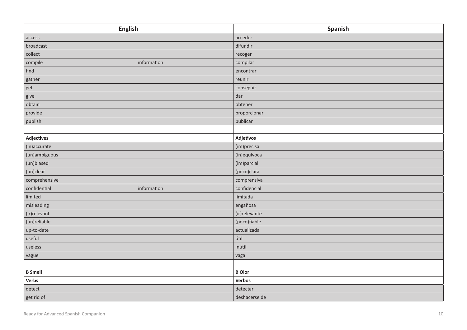| <b>English</b>              | Spanish        |
|-----------------------------|----------------|
| access                      | acceder        |
| broadcast                   | difundir       |
| collect                     | recoger        |
| information<br>compile      | compilar       |
| find                        | encontrar      |
| gather                      | reunir         |
| get                         | conseguir      |
| give                        | dar            |
| obtain                      | obtener        |
| provide                     | proporcionar   |
| publish                     | publicar       |
|                             |                |
| <b>Adjectives</b>           | Adjetivos      |
| (in)accurate                | (im)precisa    |
| (un)ambiguous               | (in)equívoca   |
| (un)biased                  | (im)parcial    |
| (un)clear                   | (poco)clara    |
| comprehensive               | comprensiva    |
| confidential<br>information | confidencial   |
| limited                     | limitada       |
| misleading                  | engañosa       |
| (ir)relevant                | (ir) relevante |
| (un)reliable                | (poco)fiable   |
| up-to-date                  | actualizada    |
| useful                      | útil           |
| useless                     | inútil         |
| vague                       | vaga           |
|                             |                |
| <b>B</b> Smell              | <b>B</b> Olor  |
| Verbs                       | Verbos         |
| detect                      | detectar       |
| get rid of                  | deshacerse de  |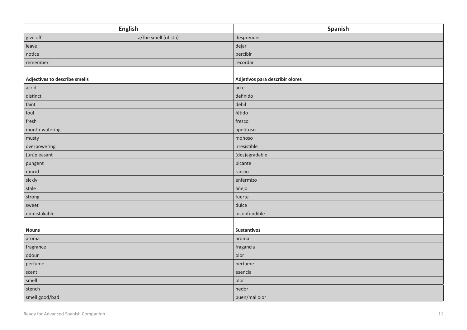|                               | <b>English</b>       | Spanish                         |
|-------------------------------|----------------------|---------------------------------|
| give off                      | a/the smell (of sth) | desprender                      |
| leave                         |                      | dejar                           |
| notice                        |                      | percibir                        |
| remember                      |                      | recordar                        |
|                               |                      |                                 |
| Adjectives to describe smells |                      | Adjetivos para describir olores |
| acrid                         |                      | acre                            |
| distinct                      |                      | definido                        |
| faint                         |                      | débil                           |
| foul                          |                      | fétido                          |
| fresh                         |                      | fresco                          |
| mouth-watering                |                      | apetitoso                       |
| musty                         |                      | mohoso                          |
| overpowering                  |                      | irresistible                    |
| (un)pleasant                  |                      | (des)agradable                  |
| pungent                       |                      | picante                         |
| rancid                        |                      | rancio                          |
| sickly                        |                      | enfermizo                       |
| stale                         |                      | añejo                           |
| strong                        |                      | fuerte                          |
| sweet                         |                      | dulce                           |
| unmistakable                  |                      | inconfundible                   |
|                               |                      |                                 |
| <b>Nouns</b>                  |                      | Sustantivos                     |
| aroma                         |                      | aroma                           |
| fragrance                     |                      | fragancia                       |
| odour                         |                      | olor                            |
| perfume                       |                      | perfume                         |
| scent                         |                      | esencia                         |
| smell                         |                      | olor                            |
| stench                        |                      | hedor                           |
| smell good/bad                |                      | buen/mal olor                   |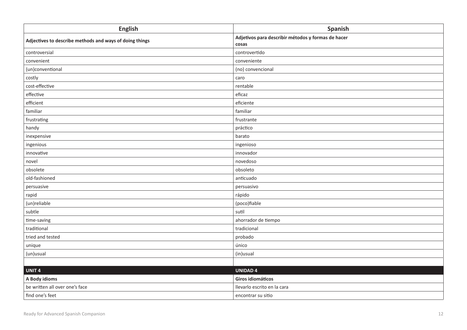| <b>English</b>                                          | Spanish                                                     |
|---------------------------------------------------------|-------------------------------------------------------------|
| Adjectives to describe methods and ways of doing things | Adjetivos para describir métodos y formas de hacer<br>cosas |
| controversial                                           | controvertido                                               |
| convenient                                              | conveniente                                                 |
| (un)conventional                                        | (no) convencional                                           |
| costly                                                  | caro                                                        |
| cost-effective                                          | rentable                                                    |
| effective                                               | eficaz                                                      |
| efficient                                               | eficiente                                                   |
| familiar                                                | familiar                                                    |
| frustrating                                             | frustrante                                                  |
| handy                                                   | práctico                                                    |
| inexpensive                                             | barato                                                      |
| ingenious                                               | ingenioso                                                   |
| innovative                                              | innovador                                                   |
| novel                                                   | novedoso                                                    |
| obsolete                                                | obsoleto                                                    |
| old-fashioned                                           | anticuado                                                   |
| persuasive                                              | persuasivo                                                  |
| rapid                                                   | rápido                                                      |
| (un)reliable                                            | (poco)fiable                                                |
| subtle                                                  | sutil                                                       |
| time-saving                                             | ahorrador de tiempo                                         |
| traditional                                             | tradicional                                                 |
| tried and tested                                        | probado                                                     |
| unique                                                  | único                                                       |
| (un)usual                                               | (in)usual                                                   |
|                                                         |                                                             |
| UNIT <sub>4</sub>                                       | <b>UNIDAD 4</b>                                             |
| A Body idioms                                           | Giros idiomáticos                                           |
| be written all over one's face                          | llevarlo escrito en la cara                                 |
| find one's feet                                         | encontrar su sitio                                          |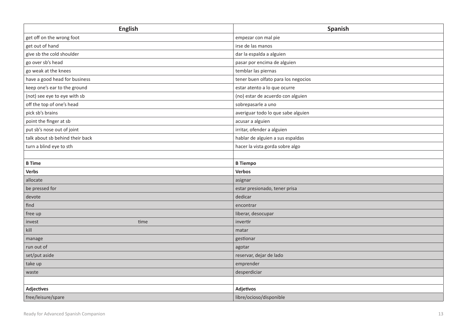| <b>English</b>                  | Spanish                             |
|---------------------------------|-------------------------------------|
| get off on the wrong foot       | empezar con mal pie                 |
| get out of hand                 | irse de las manos                   |
| give sb the cold shoulder       | dar la espalda a alguien            |
| go over sb's head               | pasar por encima de alguien         |
| go weak at the knees            | temblar las piernas                 |
| have a good head for business   | tener buen olfato para los negocios |
| keep one's ear to the ground    | estar atento a lo que ocurre        |
| (not) see eye to eye with sb    | (no) estar de acuerdo con alguien   |
| off the top of one's head       | sobrepasarle a uno                  |
| pick sb's brains                | averiguar todo lo que sabe alguien  |
| point the finger at sb          | acusar a alguien                    |
| put sb's nose out of joint      | irritar, ofender a alguien          |
| talk about sb behind their back | hablar de alguien a sus espaldas    |
| turn a blind eye to sth         | hacer la vista gorda sobre algo     |
|                                 |                                     |
| <b>B</b> Time                   | <b>B</b> Tiempo                     |
| <b>Verbs</b>                    | <b>Verbos</b>                       |
| allocate                        | asignar                             |
| be pressed for                  | estar presionado, tener prisa       |
| devote                          | dedicar                             |
| find                            | encontrar                           |
| free up                         | liberar, desocupar                  |
| invest<br>time                  | invertir                            |
| $k$ ill                         | matar                               |
| manage                          | gestionar                           |
| run out of                      | agotar                              |
| set/put aside                   | reservar, dejar de lado             |
| take up                         | emprender                           |
| waste                           | desperdiciar                        |
|                                 |                                     |
| <b>Adjectives</b>               | <b>Adjetivos</b>                    |
| free/leisure/spare              | libre/ocioso/disponible             |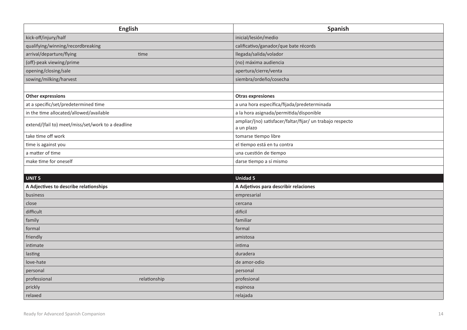| <b>English</b>                                    | Spanish                                                                 |
|---------------------------------------------------|-------------------------------------------------------------------------|
| kick-off/injury/half                              | inicial/lesión/medio                                                    |
| qualifying/winning/recordbreaking                 | calificativo/ganador/que bate récords                                   |
| arrival/departure/flying<br>time                  | llegada/salida/volador                                                  |
| (off)-peak viewing/prime                          | (no) máxima audiencia                                                   |
| opening/closing/sale                              | apertura/cierre/venta                                                   |
| sowing/milking/harvest                            | siembra/ordeño/cosecha                                                  |
|                                                   |                                                                         |
| <b>Other expressions</b>                          | <b>Otras expresiones</b>                                                |
| at a specific/set/predetermined time              | a una hora específica/fijada/predeterminada                             |
| in the time allocated/allowed/available           | a la hora asignada/permitida/disponible                                 |
| extend/(fail to) meet/miss/set/work to a deadline | ampliar/(no) satisfacer/faltar/fijar/ un trabajo respecto<br>a un plazo |
| take time off work                                | tomarse tiempo libre                                                    |
| time is against you                               | el tiempo está en tu contra                                             |
| a matter of time                                  | una cuestión de tiempo                                                  |
| make time for oneself                             | darse tiempo a sí mismo                                                 |
|                                                   |                                                                         |
| UNIT <sub>5</sub>                                 | <b>Unidad 5</b>                                                         |
| A Adjectives to describe relationships            | A Adjetivos para describir relaciones                                   |
| business                                          | empresarial                                                             |
| close                                             | cercana                                                                 |
| difficult                                         | difícil                                                                 |
| family                                            | familiar                                                                |
| formal                                            | formal                                                                  |
| friendly                                          | amistosa                                                                |
| intimate                                          | íntima                                                                  |
| lasting                                           | duradera                                                                |
| love-hate                                         | de amor-odio                                                            |
| personal                                          | personal                                                                |
| professional<br>relationship                      | profesional                                                             |
| prickly                                           | espinosa                                                                |
| relaxed                                           | relajada                                                                |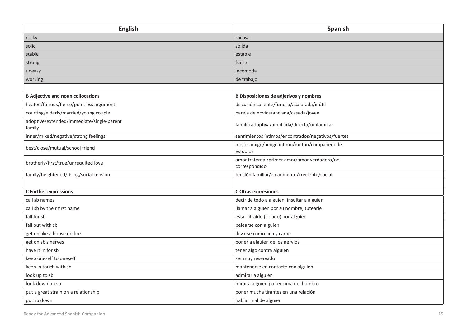| <b>English</b>                                      | Spanish                                                       |
|-----------------------------------------------------|---------------------------------------------------------------|
| rocky                                               | rocosa                                                        |
| solid                                               | sólida                                                        |
| stable                                              | estable                                                       |
| strong                                              | fuerte                                                        |
| uneasy                                              | incómoda                                                      |
| working                                             | de trabajo                                                    |
|                                                     |                                                               |
| <b>B Adjective and noun collocations</b>            | <b>B Disposiciones de adjetivos y nombres</b>                 |
| heated/furious/fierce/pointless argument            | discusión caliente/furiosa/acalorada/inútil                   |
| courting/elderly/married/young couple               | pareja de novios/anciana/casada/joven                         |
| adoptive/extended/immediate/single-parent<br>family | familia adoptiva/ampliada/directa/unifamiliar                 |
| inner/mixed/negative/strong feelings                | sentimientos íntimos/encontrados/negativos/fuertes            |
| best/close/mutual/school friend                     | mejor amigo/amigo íntimo/mutuo/compañero de<br>estudios       |
| brotherly/first/true/unrequited love                | amor fraternal/primer amor/amor verdadero/no<br>correspondido |
| family/heightened/rising/social tension             | tensión familiar/en aumento/creciente/social                  |
|                                                     |                                                               |
| <b>C</b> Further expressions                        | C Otras expresiones                                           |
| call sb names                                       | decir de todo a alguien, insultar a alguien                   |
| call sb by their first name                         | llamar a alguien por su nombre, tutearle                      |
| fall for sb                                         | estar atraído (colado) por alguien                            |
| fall out with sb                                    | pelearse con alguien                                          |
| get on like a house on fire                         | llevarse como uña y carne                                     |
| get on sb's nerves                                  | poner a alguien de los nervios                                |
| have it in for sb                                   | tener algo contra alguien                                     |
| keep oneself to oneself                             | ser muy reservado                                             |
| keep in touch with sb                               | mantenerse en contacto con alguien                            |
| look up to sb                                       | admirar a alguien                                             |
| look down on sb                                     | mirar a alguien por encima del hombro                         |
| put a great strain on a relationship                | poner mucha tirantez en una relación                          |
| put sb down                                         | hablar mal de alguien                                         |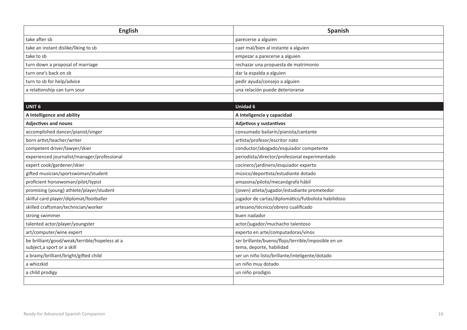| <b>English</b>                                | Spanish                                             |
|-----------------------------------------------|-----------------------------------------------------|
| take after sb                                 | parecerse a alguien                                 |
| take an instant dislike/liking to sb          | caer mal/bien al instante a alguien                 |
| take to sb                                    | empezar a parecerse a alguien                       |
| turn down a proposal of marriage              | rechazar una propuesta de matrimonio                |
| turn one's back on sb                         | dar la espalda a alguien                            |
| turn to sb for help/advice                    | pedir ayuda/consejo a alguien                       |
| a relationship can turn sour                  | una relación puede deteriorarse                     |
|                                               |                                                     |
| <b>UNIT 6</b>                                 | <b>Unidad 6</b>                                     |
| A Intelligence and ability                    | A Inteligencia y capacidad                          |
| <b>Adjectives and nouns</b>                   | Adjetivos y sustantivos                             |
| accomplished dancer/pianist/singer            | consumado bailarín/pianista/cantante                |
| born artist/teacher/writer                    | artista/profesor/escritor nato                      |
| competent driver/lawyer/skier                 | conductor/abogado/esquiador competente              |
| experienced journalist/manager/professional   | periodista/director/profesional experimentado       |
| expert cook/gardener/skier                    | cocinero/jardinero/esquiador experto                |
| gifted musician/sportswoman/student           | músico/deportista/estudiante dotado                 |
| proficient horsewoman/pilot/typist            | amazona/piloto/mecanógrafa hábil                    |
| promising (young) athlete/player/student      | (joven) atleta/jugador/estudiante prometedor        |
| skilful card player/diplomat/footballer       | jugador de cartas/diplomático/futbolista habilidoso |
| skilled craftsman/technician/worker           | artesano/técnico/obrero cualificado                 |
| strong swimmer                                | buen nadador                                        |
| talented actor/player/youngster               | actor/jugador/muchacho talentoso                    |
| art/computer/wine expert                      | experto en arte/computadoras/vinos                  |
| be brilliant/good/weak/terrible/hopeless at a | ser brillante/bueno/flojo/terrible/imposible en un  |
| subject, a sport or a skill                   | tema, deporte, habilidad                            |
| a brainy/brilliant/bright/gifted child        | ser un niño listo/brillante/inteligente/dotado      |
| a whizzkid                                    | un niño muy dotado                                  |
| a child prodigy                               | un niño prodigio                                    |
|                                               |                                                     |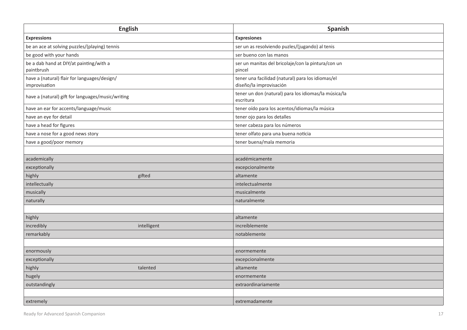|                                                               | <b>English</b> | Spanish                                                                      |
|---------------------------------------------------------------|----------------|------------------------------------------------------------------------------|
| <b>Expressions</b>                                            |                | <b>Expresiones</b>                                                           |
| be an ace at solving puzzles/(playing) tennis                 |                | ser un as resolviendo puzles/(jugando) al tenis                              |
| be good with your hands                                       |                | ser bueno con las manos                                                      |
| be a dab hand at DIY/at painting/with a                       |                | ser un manitas del bricolaje/con la pintura/con un                           |
| paintbrush                                                    |                | pincel                                                                       |
| have a (natural) flair for languages/design/<br>improvisation |                | tener una facilidad (natural) para los idiomas/el<br>diseño/la improvisación |
| have a (natural) gift for languages/music/writing             |                | tener un don (natural) para los idiomas/la música/la<br>escritura            |
| have an ear for accents/language/music                        |                | tener oído para los acentos/idiomas/la música                                |
| have an eye for detail                                        |                | tener ojo para los detalles                                                  |
| have a head for figures                                       |                | tener cabeza para los números                                                |
| have a nose for a good news story                             |                | tener olfato para una buena noticia                                          |
| have a good/poor memory                                       |                | tener buena/mala memoria                                                     |
|                                                               |                |                                                                              |
| academically                                                  |                | académicamente                                                               |
| exceptionally                                                 |                | excepcionalmente                                                             |
| highly                                                        | gifted         | altamente                                                                    |
| intellectually                                                |                | intelectualmente                                                             |
| musically                                                     |                | musicalmente                                                                 |
| naturally                                                     |                | naturalmente                                                                 |
|                                                               |                |                                                                              |
| highly                                                        |                | altamente                                                                    |
| incredibly                                                    | intelligent    | increíblemente                                                               |
| remarkably                                                    |                | notablemente                                                                 |
|                                                               |                |                                                                              |
| enormously                                                    |                | enormemente                                                                  |
| exceptionally                                                 |                | excepcionalmente                                                             |
| highly                                                        | talented       | altamente                                                                    |
| hugely                                                        |                | enormemente                                                                  |
| outstandingly                                                 |                | extraordinariamente                                                          |
|                                                               |                |                                                                              |
| extremely                                                     |                | extremadamente                                                               |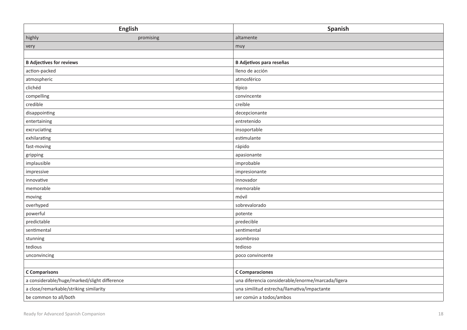|                                              | <b>English</b> | Spanish                                           |
|----------------------------------------------|----------------|---------------------------------------------------|
| highly                                       | promising      | altamente                                         |
| very                                         |                | muy                                               |
|                                              |                |                                                   |
| <b>B Adjectives for reviews</b>              |                | <b>B Adjetivos para reseñas</b>                   |
| action-packed                                |                | lleno de acción                                   |
| atmospheric                                  |                | atmosférico                                       |
| clichéd                                      |                | típico                                            |
| compelling                                   |                | convincente                                       |
| credible                                     |                | creíble                                           |
| disappointing                                |                | decepcionante                                     |
| entertaining                                 |                | entretenido                                       |
| excruciating                                 |                | insoportable                                      |
| exhilarating                                 |                | estimulante                                       |
| fast-moving                                  |                | rápido                                            |
| gripping                                     |                | apasionante                                       |
| implausible                                  |                | improbable                                        |
| impressive                                   |                | impresionante                                     |
| innovative                                   |                | innovador                                         |
| memorable                                    |                | memorable                                         |
| moving                                       |                | móvil                                             |
| overhyped                                    |                | sobrevalorado                                     |
| powerful                                     |                | potente                                           |
| predictable                                  |                | predecible                                        |
| sentimental                                  |                | sentimental                                       |
| stunning                                     |                | asombroso                                         |
| tedious                                      |                | tedioso                                           |
| unconvincing                                 |                | poco convincente                                  |
|                                              |                |                                                   |
| <b>C</b> Comparisons                         |                | <b>C</b> Comparaciones                            |
| a considerable/huge/marked/slight difference |                | una diferencia considerable/enorme/marcada/ligera |
| a close/remarkable/striking similarity       |                | una similitud estrecha/llamativa/impactante       |
| be common to all/both                        |                | ser común a todos/ambos                           |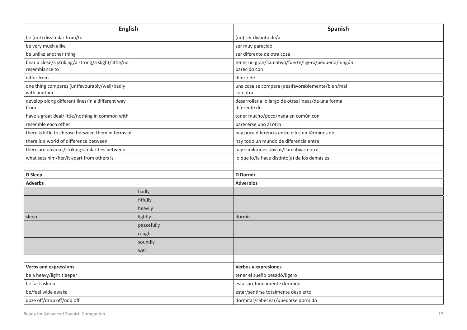| <b>English</b>                                                        |            | Spanish                                                              |
|-----------------------------------------------------------------------|------------|----------------------------------------------------------------------|
| be (not) dissimilar from/to                                           |            | (no) ser distinto de/a                                               |
| be very much alike                                                    |            | ser muy parecido                                                     |
| be unlike another thing                                               |            | ser diferente de otra cosa                                           |
| bear a close/a striking/a strong/a slight/little/no<br>resemblance to |            | tener un gran/llamativo/fuerte/ligero/pequeño/ningún<br>parecido con |
| differ from                                                           |            | diferir de                                                           |
| one thing compares (un)favourably/well/badly<br>with another          |            | una cosa se compara (des)favorablemente/bien/mal<br>con otra         |
| develop along different lines/in a different way<br>from              |            | desarrollar a lo largo de otras líneas/de una forma<br>diferente de  |
| have a great deal/little/nothing in common with                       |            | tener mucho/poco/nada en común con                                   |
| resemble each other                                                   |            | parecerse uno al otro                                                |
| there is little to choose between them in terms of                    |            | hay poca diferencia entre ellos en términos de                       |
| there is a world of difference between                                |            | hay todo un mundo de diferencia entre                                |
| there are obvious/striking similarities between                       |            | hay similitudes obvias/llamativas entre                              |
| what sets him/her/it apart from others is                             |            | lo que lo/la hace distinto(a) de los demás es                        |
|                                                                       |            |                                                                      |
| D Sleep                                                               |            | <b>D</b> Dormir                                                      |
| <b>Adverbs</b>                                                        |            | <b>Adverbios</b>                                                     |
|                                                                       | badly      |                                                                      |
|                                                                       | fitfully   |                                                                      |
|                                                                       | heavily    |                                                                      |
| sleep                                                                 | lightly    | dormir                                                               |
|                                                                       | peacefully |                                                                      |
|                                                                       | rough      |                                                                      |
|                                                                       | soundly    |                                                                      |
|                                                                       | well       |                                                                      |
|                                                                       |            |                                                                      |
| <b>Verbs and expressions</b>                                          |            | Verbos y expresiones                                                 |
| be a heavy/light sleeper                                              |            | tener el sueño pesado/ligero                                         |
| be fast asleep                                                        |            | estar profundamente dormido                                          |
| be/feel wide awake                                                    |            | estar/sentirse totalmente despierto                                  |
| doze off/drop off/nod off                                             |            | dormitar/cabecear/quedarse dormido                                   |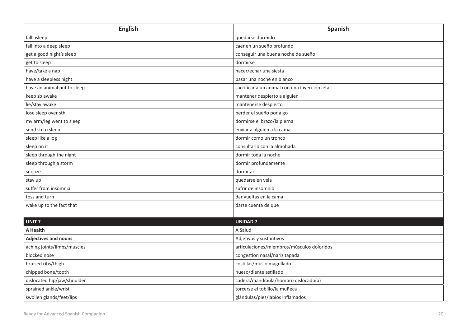| <b>English</b>              | Spanish                                        |
|-----------------------------|------------------------------------------------|
| fall asleep                 | quedarse dormido                               |
| fall into a deep sleep      | caer en un sueño profundo                      |
| get a good night's sleep    | conseguir una buena noche de sueño             |
| get to sleep                | dormirse                                       |
| have/take a nap             | hacer/echar una siesta                         |
| have a sleepless night      | pasar una noche en blanco                      |
| have an animal put to sleep | sacrificar a un animal con una inyección letal |
| keep sb awake               | mantener despierto a alguien                   |
| lie/stay awake              | mantenerse despierto                           |
| lose sleep over sth         | perder el sueño por algo                       |
| my arm/leg went to sleep    | dormirse el brazo/la pierna                    |
| send sb to sleep            | enviar a alguien a la cama                     |
| sleep like a log            | dormir como un tronco                          |
| sleep on it                 | consultarlo con la almohada                    |
| sleep through the night     | dormir toda la noche                           |
| sleep through a storm       | dormir profundamente                           |
| snooze                      | dormitar                                       |
| stay up                     | quedarse en vela                               |
| suffer from insomnia        | sufrir de insomnio                             |
| toss and turn               | dar vueltas en la cama                         |
| wake up to the fact that    | darse cuenta de que                            |
|                             |                                                |
| UNIT <sub>7</sub>           | <b>UNIDAD 7</b>                                |
| A Health                    | A Salud                                        |
| <b>Adjectives and nouns</b> | Adjetivos y sustantivos                        |
| aching joints/limbs/muscles | articulaciones/miembros/músculos doloridos     |
| blocked nose                | congestión nasal/nariz tapada                  |
| bruised ribs/thigh          | costillas/muslo magullado                      |
| chipped bone/tooth          | hueso/diente astillado                         |
| dislocated hip/jaw/shoulder | cadera/mandíbula/hombro dislocado(a)           |
| sprained ankle/wrist        | torcerse el tobillo/la muñeca                  |
| swollen glands/feet/lips    | glándulas/pies/labios inflamados               |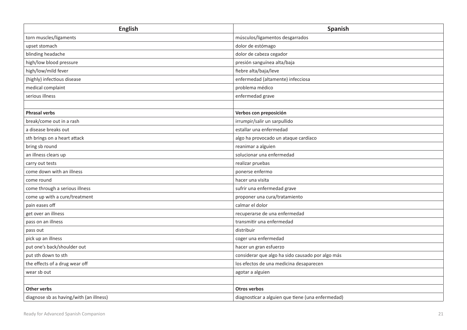| <b>English</b>                          | Spanish                                           |
|-----------------------------------------|---------------------------------------------------|
| torn muscles/ligaments                  | músculos/ligamentos desgarrados                   |
| upset stomach                           | dolor de estómago                                 |
| blinding headache                       | dolor de cabeza cegador                           |
| high/low blood pressure                 | presión sanguínea alta/baja                       |
| high/low/mild fever                     | fiebre alta/baja/leve                             |
| (highly) infectious disease             | enfermedad (altamente) infecciosa                 |
| medical complaint                       | problema médico                                   |
| serious illness                         | enfermedad grave                                  |
|                                         |                                                   |
| <b>Phrasal verbs</b>                    | Verbos con preposición                            |
| break/come out in a rash                | irrumpir/salir un sarpullido                      |
| a disease breaks out                    | estallar una enfermedad                           |
| sth brings on a heart attack            | algo ha provocado un ataque cardíaco              |
| bring sb round                          | reanimar a alguien                                |
| an illness clears up                    | solucionar una enfermedad                         |
| carry out tests                         | realizar pruebas                                  |
| come down with an illness               | ponerse enfermo                                   |
| come round                              | hacer una visita                                  |
| come through a serious illness          | sufrir una enfermedad grave                       |
| come up with a cure/treatment           | proponer una cura/tratamiento                     |
| pain eases off                          | calmar el dolor                                   |
| get over an illness                     | recuperarse de una enfermedad                     |
| pass on an illness                      | transmitir una enfermedad                         |
| pass out                                | distribuir                                        |
| pick up an illness                      | coger una enfermedad                              |
| put one's back/shoulder out             | hacer un gran esfuerzo                            |
| put sth down to sth                     | considerar que algo ha sido causado por algo más  |
| the effects of a drug wear off          | los efectos de una medicina desaparecen           |
| wear sb out                             | agotar a alguien                                  |
|                                         |                                                   |
| Other verbs                             | <b>Otros verbos</b>                               |
| diagnose sb as having/with (an illness) | diagnosticar a alguien que tiene (una enfermedad) |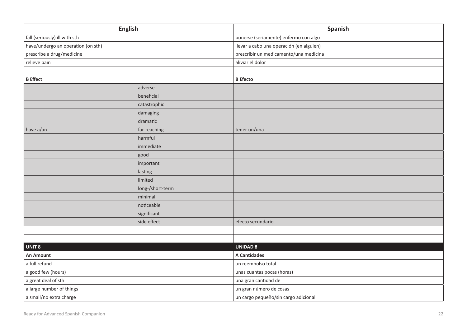|                                    | <b>English</b>   | Spanish                                  |
|------------------------------------|------------------|------------------------------------------|
| fall (seriously) ill with sth      |                  | ponerse (seriamente) enfermo con algo    |
| have/undergo an operation (on sth) |                  | llevar a cabo una operación (en alguien) |
| prescribe a drug/medicine          |                  | prescribir un medicamento/una medicina   |
| relieve pain                       |                  | aliviar el dolor                         |
|                                    |                  |                                          |
| <b>B</b> Effect                    |                  | <b>B</b> Efecto                          |
|                                    | adverse          |                                          |
|                                    | beneficial       |                                          |
|                                    | catastrophic     |                                          |
|                                    | damaging         |                                          |
|                                    | dramatic         |                                          |
| have a/an                          | far-reaching     | tener un/una                             |
|                                    | harmful          |                                          |
|                                    | immediate        |                                          |
|                                    | good             |                                          |
|                                    | important        |                                          |
|                                    | lasting          |                                          |
|                                    | limited          |                                          |
|                                    | long-/short-term |                                          |
|                                    | minimal          |                                          |
|                                    | noticeable       |                                          |
|                                    | significant      |                                          |
|                                    | side effect      | efecto secundario                        |
|                                    |                  |                                          |
|                                    |                  |                                          |
| <b>UNIT 8</b>                      |                  | <b>UNIDAD 8</b>                          |
| <b>An Amount</b>                   |                  | <b>A Cantidades</b>                      |
| a full refund                      |                  | un reembolso total                       |
| a good few (hours)                 |                  | unas cuantas pocas (horas)               |
| a great deal of sth                |                  | una gran cantidad de                     |
| a large number of things           |                  | un gran número de cosas                  |
| a small/no extra charge            |                  | un cargo pequeño/sin cargo adicional     |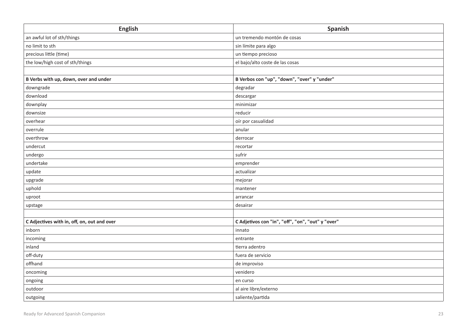| <b>English</b>                              | Spanish                                           |
|---------------------------------------------|---------------------------------------------------|
| an awful lot of sth/things                  | un tremendo montón de cosas                       |
| no limit to sth                             | sin límite para algo                              |
| precious little (time)                      | un tiempo precioso                                |
| the low/high cost of sth/things             | el bajo/alto coste de las cosas                   |
|                                             |                                                   |
| B Verbs with up, down, over and under       | B Verbos con "up", "down", "over" y "under"       |
| downgrade                                   | degradar                                          |
| download                                    | descargar                                         |
| downplay                                    | minimizar                                         |
| downsize                                    | reducir                                           |
| overhear                                    | oír por casualidad                                |
| overrule                                    | anular                                            |
| overthrow                                   | derrocar                                          |
| undercut                                    | recortar                                          |
| undergo                                     | sufrir                                            |
| undertake                                   | emprender                                         |
| update                                      | actualizar                                        |
| upgrade                                     | mejorar                                           |
| uphold                                      | mantener                                          |
| uproot                                      | arrancar                                          |
| upstage                                     | desairar                                          |
|                                             |                                                   |
| C Adjectives with in, off, on, out and over | C Adjetivos con "in", "off", "on", "out" y "over" |
| inborn                                      | innato                                            |
| incoming                                    | entrante                                          |
| inland                                      | tierra adentro                                    |
| off-duty                                    | fuera de servicio                                 |
| offhand                                     | de improviso                                      |
| oncoming                                    | venidero                                          |
| ongoing                                     | en curso                                          |
| outdoor                                     | al aire libre/externo                             |
| outgoing                                    | saliente/partida                                  |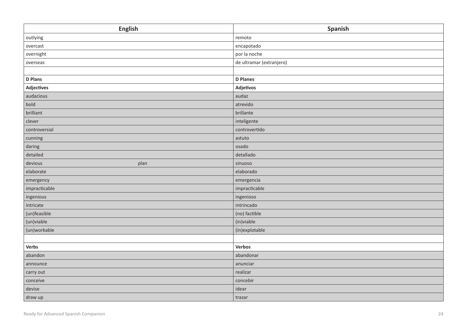| <b>English</b>    | Spanish                  |
|-------------------|--------------------------|
| outlying          | remoto                   |
| overcast          | encapotado               |
| overnight         | por la noche             |
| overseas          | de ultramar (extranjero) |
|                   |                          |
| <b>D</b> Plans    | <b>D</b> Planes          |
| <b>Adjectives</b> | Adjetivos                |
| audacious         | audaz                    |
| bold              | atrevido                 |
| brilliant         | brillante                |
| clever            | inteligente              |
| controversial     | controvertido            |
| cunning           | astuto                   |
| daring            | osado                    |
| detailed          | detallado                |
| devious<br>plan   | sinuoso                  |
| elaborate         | elaborado                |
| emergency         | emergencia               |
| impracticable     | impracticable            |
| ingenious         | ingenioso                |
| intricate         | intrincado               |
| (un)feasible      | (no) factible            |
| (un)viable        | (in) viable              |
| (un)workable      | (in)explotable           |
|                   |                          |
| Verbs             | Verbos                   |
| abandon           | abandonar                |
| announce          | anunciar                 |
| carry out         | realizar                 |
| conceive          | concebir                 |
| devise            | idear                    |
| draw up           | trazar                   |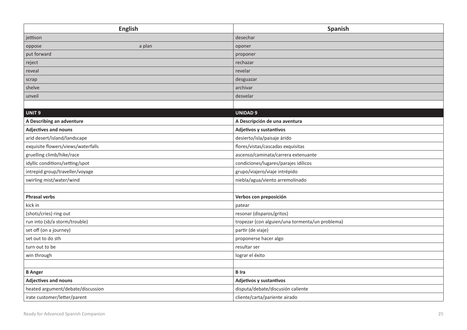| <b>English</b>                     | Spanish                                         |
|------------------------------------|-------------------------------------------------|
| jettison                           | desechar                                        |
| oppose<br>a plan                   | oponer                                          |
| put forward                        | proponer                                        |
| reject                             | rechazar                                        |
| reveal                             | revelar                                         |
| scrap                              | desguazar                                       |
| shelve                             | archivar                                        |
| unveil                             | desvelar                                        |
|                                    |                                                 |
| UNIT <sub>9</sub>                  | <b>UNIDAD 9</b>                                 |
| A Describing an adventure          | A Descripción de una aventura                   |
| <b>Adjectives and nouns</b>        | Adjetivos y sustantivos                         |
| arid desert/island/landscape       | desierto/isla/paisaje árido                     |
| exquisite flowers/views/waterfalls | flores/vistas/cascadas exquisitas               |
| gruelling climb/hike/race          | ascenso/caminata/carrera extenuante             |
| idyllic conditions/setting/spot    | condiciones/lugares/parajes idílicos            |
| intrepid group/traveller/voyage    | grupo/viajero/viaje intrépido                   |
| swirling mist/water/wind           | niebla/agua/viento arremolinado                 |
|                                    |                                                 |
| <b>Phrasal verbs</b>               | Verbos con preposición                          |
| kick in                            | patear                                          |
| (shots/cries) ring out             | resonar (disparos/gritos)                       |
| run into (sb/a storm/trouble)      | tropezar (con alguien/una tormenta/un problema) |
| set off (on a journey)             | partir (de viaje)                               |
| set out to do sth                  | proponerse hacer algo                           |
| turn out to be                     | resultar ser                                    |
| win through                        | lograr el éxito                                 |
|                                    |                                                 |
| <b>B</b> Anger                     | <b>B</b> Ira                                    |
| <b>Adjectives and nouns</b>        | Adjetivos y sustantivos                         |
| heated argument/debate/discussion  | disputa/debate/discusión caliente               |
| irate customer/letter/parent       | cliente/carta/pariente airado                   |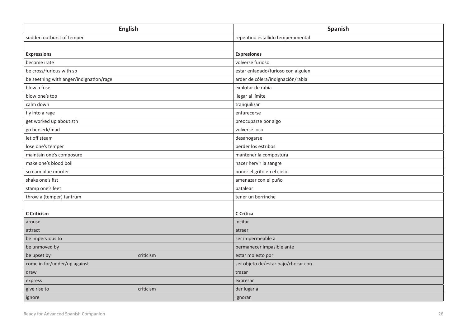| <b>English</b>                          | Spanish                             |
|-----------------------------------------|-------------------------------------|
| sudden outburst of temper               | repentino estallido temperamental   |
|                                         |                                     |
| <b>Expressions</b>                      | <b>Expresiones</b>                  |
| become irate                            | volverse furioso                    |
| be cross/furious with sb                | estar enfadado/furioso con alguien  |
| be seething with anger/indignation/rage | arder de cólera/indignación/rabia   |
| blow a fuse                             | explotar de rabia                   |
| blow one's top                          | llegar al límite                    |
| calm down                               | tranquilizar                        |
| fly into a rage                         | enfurecerse                         |
| get worked up about sth                 | preocuparse por algo                |
| go berserk/mad                          | volverse loco                       |
| let off steam                           | desahogarse                         |
| lose one's temper                       | perder los estribos                 |
| maintain one's composure                | mantener la compostura              |
| make one's blood boil                   | hacer hervir la sangre              |
| scream blue murder                      | poner el grito en el cielo          |
| shake one's fist                        | amenazar con el puño                |
| stamp one's feet                        | patalear                            |
| throw a (temper) tantrum                | tener un berrinche                  |
|                                         |                                     |
| <b>C</b> Criticism                      | C Crítica                           |
| arouse                                  | incitar                             |
| attract                                 | atraer                              |
| be impervious to                        | ser impermeable a                   |
| be unmoved by                           | permanecer impasible ante           |
| be upset by<br>criticism                | estar molesto por                   |
| come in for/under/up against            | ser objeto de/estar bajo/chocar con |
| draw                                    | trazar                              |
| express                                 | expresar                            |
| criticism<br>give rise to               | dar lugar a                         |
| ignore                                  | ignorar                             |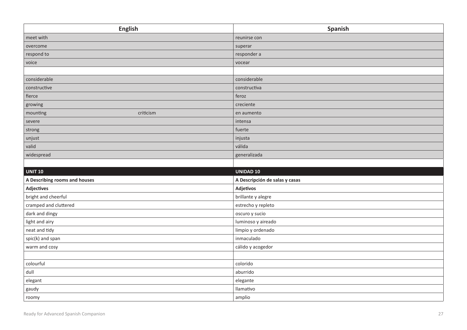| <b>English</b>                | Spanish                        |
|-------------------------------|--------------------------------|
| meet with                     | reunirse con                   |
| overcome                      | superar                        |
| respond to                    | responder a                    |
| voice                         | vocear                         |
|                               |                                |
| considerable                  | considerable                   |
| constructive                  | constructiva                   |
| fierce                        | feroz                          |
| growing                       | creciente                      |
| criticism<br>mounting         | en aumento                     |
| severe                        | intensa                        |
| strong                        | fuerte                         |
| unjust                        | injusta                        |
| valid                         | válida                         |
| widespread                    | generalizada                   |
|                               |                                |
| <b>UNIT 10</b>                | <b>UNIDAD 10</b>               |
| A Describing rooms and houses | A Descripción de salas y casas |
| <b>Adjectives</b>             | Adjetivos                      |
| bright and cheerful           | brillante y alegre             |
| cramped and cluttered         | estrecho y repleto             |
| dark and dingy                | oscuro y sucio                 |
| light and airy                | luminoso y aireado             |
| neat and tidy                 | limpio y ordenado              |
| spic(k) and span              | inmaculado                     |
| warm and cosy                 | cálido y acogedor              |
|                               |                                |
| colourful                     | colorido                       |
| dull                          | aburrido                       |
| elegant                       | elegante                       |
| gaudy                         | llamativo                      |
| roomy                         | amplio                         |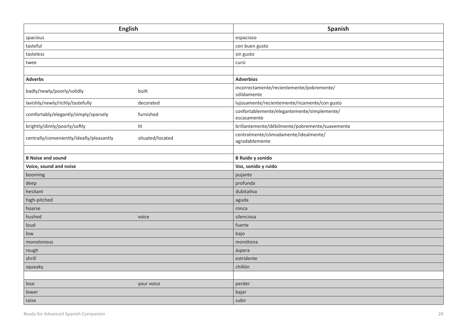| <b>English</b>                            |                  | Spanish                                                    |
|-------------------------------------------|------------------|------------------------------------------------------------|
| spacious                                  |                  | espacioso                                                  |
| tasteful                                  |                  | con buen gusto                                             |
| tasteless                                 |                  | sin gusto                                                  |
| twee                                      |                  | cursi                                                      |
|                                           |                  |                                                            |
| <b>Adverbs</b>                            |                  | <b>Adverbios</b>                                           |
| badly/newly/poorly/solidly                | built            | incorrectamente/recientemente/pobremente/<br>sólidamente   |
| lavishly/newly/richly/tastefully          | decorated        | lujosamente/recientemente/ricamente/con gusto              |
| comfortably/elegantly/simply/sparsely     | furnished        | confortablemente/elegantemente/simplemente/<br>escasamente |
| brightly/dimly/poorly/softly              | $_{\text{lit}}$  | brillantemente/débilmente/pobremente/suavemente            |
| centrally/conveniently/ideally/pleasantly | situated/located | centralmente/cómodamente/idealmente/<br>agradablemente     |
|                                           |                  |                                                            |
| <b>B Noise and sound</b>                  |                  | <b>B Ruido y sonido</b>                                    |
| Voice, sound and noise                    |                  | Voz, sonido y ruido                                        |
| booming                                   |                  | pujante                                                    |
| deep                                      |                  | profunda                                                   |
| hesitant                                  |                  | dubitativa                                                 |
| high-pitched                              |                  | aguda                                                      |
| hoarse                                    |                  | ronca                                                      |
| hushed                                    | voice            | silenciosa                                                 |
| loud                                      |                  | fuerte                                                     |
| low                                       |                  | bajo                                                       |
| monotonous                                |                  | monótona                                                   |
| rough                                     |                  | áspera                                                     |
| shrill                                    |                  | estridente                                                 |
| squeaky                                   |                  | chillón                                                    |
|                                           |                  |                                                            |
| lose                                      | your voice       | perder                                                     |
| lower                                     |                  | bajar                                                      |
| raise                                     |                  | subir                                                      |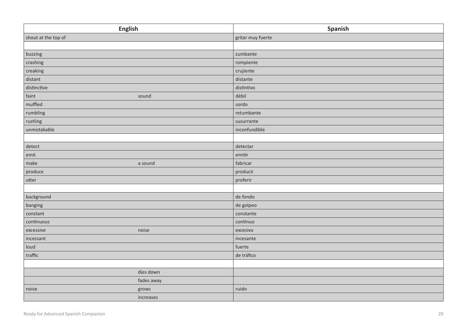| <b>English</b>      | Spanish           |
|---------------------|-------------------|
| shout at the top of | gritar muy fuerte |
|                     |                   |
| buzzing             | zumbante          |
| crashing            | rompiente         |
| creaking            | crujiente         |
| distant             | distante          |
| distinctive         | distintivo        |
| faint<br>sound      | débil             |
| muffled             | sordo             |
| rumbling            | retumbante        |
| rustling            | susurrante        |
| unmistakable        | inconfundible     |
|                     |                   |
| detect              | detectar          |
| emit                | emitir            |
| make<br>a sound     | fabricar          |
| produce             | producir          |
| utter               | proferir          |
|                     |                   |
| background          | de fondo          |
| banging             | de golpeo         |
| constant            | constante         |
| continuous          | continuo          |
| excessive<br>noise  | excesivo          |
| incessant           | incesante         |
| loud                | fuerte            |
| traffic             | de tráfico        |
|                     |                   |
| dies down           |                   |
| fades away          |                   |
| noise<br>grows      | ruido             |
| increases           |                   |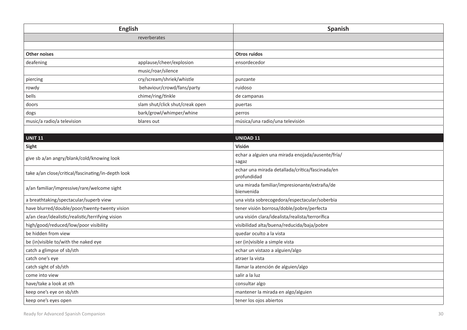| <b>English</b>                                     |                                 | Spanish                                                        |
|----------------------------------------------------|---------------------------------|----------------------------------------------------------------|
|                                                    | reverberates                    |                                                                |
|                                                    |                                 |                                                                |
| <b>Other noises</b>                                |                                 | <b>Otros ruidos</b>                                            |
| deafening                                          | applause/cheer/explosion        | ensordecedor                                                   |
|                                                    | music/roar/silence              |                                                                |
| piercing                                           | cry/scream/shriek/whistle       | punzante                                                       |
| rowdy                                              | behaviour/crowd/fans/party      | ruidoso                                                        |
| bells                                              | chime/ring/tinkle               | de campanas                                                    |
| doors                                              | slam shut/click shut/creak open | puertas                                                        |
| dogs                                               | bark/growl/whimper/whine        | perros                                                         |
| music/a radio/a television                         | blares out                      | música/una radio/una televisión                                |
|                                                    |                                 |                                                                |
| <b>UNIT 11</b>                                     |                                 | <b>UNIDAD 11</b>                                               |
| Sight                                              |                                 | Visión                                                         |
| give sb a/an angry/blank/cold/knowing look         |                                 | echar a alguien una mirada enojada/ausente/fría/<br>sagaz      |
| take a/an close/critical/fascinating/in-depth look |                                 | echar una mirada detallada/crítica/fascinada/en<br>profundidad |
| a/an familiar/impressive/rare/welcome sight        |                                 | una mirada familiar/impresionante/extraña/de<br>bienvenida     |
| a breathtaking/spectacular/superb view             |                                 | una vista sobrecogedora/espectacular/soberbia                  |
| have blurred/double/poor/twenty-twenty vision      |                                 | tener visión borrosa/doble/pobre/perfecta                      |
| a/an clear/idealistic/realistic/terrifying vision  |                                 | una visión clara/idealista/realista/terrorífica                |
| high/good/reduced/low/poor visibility              |                                 | visibilidad alta/buena/reducida/baja/pobre                     |
| be hidden from view                                |                                 | quedar oculto a la vista                                       |
| be (in) visible to/with the naked eye              |                                 | ser (in) visible a simple vista                                |
| catch a glimpse of sb/sth                          |                                 | echar un vistazo a alguien/algo                                |
| catch one's eye                                    |                                 | atraer la vista                                                |
| catch sight of sb/sth                              |                                 | llamar la atención de alguien/algo                             |
| come into view                                     |                                 | salir a la luz                                                 |
| have/take a look at sth                            |                                 | consultar algo                                                 |
| keep one's eye on sb/sth                           |                                 | mantener la mirada en algo/alguien                             |
| keep one's eyes open                               |                                 | tener los ojos abiertos                                        |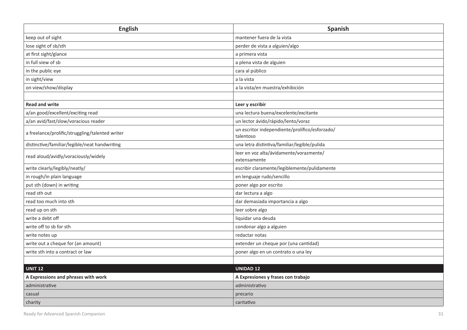| <b>English</b>                                  | Spanish                                                     |
|-------------------------------------------------|-------------------------------------------------------------|
| keep out of sight                               | mantener fuera de la vista                                  |
| lose sight of sb/sth                            | perder de vista a alguien/algo                              |
| at first sight/glance                           | a primera vista                                             |
| in full view of sb                              | a plena vista de alguien                                    |
| in the public eye                               | cara al público                                             |
| in sight/view                                   | a la vista                                                  |
| on view/show/display                            | a la vista/en muestra/exhibición                            |
|                                                 |                                                             |
| <b>Read and write</b>                           | Leer y escribir                                             |
| a/an good/excellent/exciting read               | una lectura buena/excelente/excitante                       |
| a/an avid/fast/slow/voracious reader            | un lector ávido/rápido/lento/voraz                          |
| a freelance/prolific/struggling/talented writer | un escritor independiente/prolífico/esforzado/<br>talentoso |
| distinctive/familiar/legible/neat handwriting   | una letra distintiva/familiar/legible/pulida                |
| read aloud/avidly/voraciously/widely            | leer en voz alta/ávidamente/vorazmente/<br>extensamente     |
| write clearly/legibly/neatly/                   | escribir claramente/legiblemente/pulidamente                |
| in rough/in plain language                      | en lenguaje rudo/sencillo                                   |
| put sth (down) in writing                       | poner algo por escrito                                      |
| read sth out                                    | dar lectura a algo                                          |
| read too much into sth                          | dar demasiada importancia a algo                            |
| read up on sth                                  | leer sobre algo                                             |
| write a debt off                                | liquidar una deuda                                          |
| write off to sb for sth                         | condonar algo a alguien                                     |
| write notes up                                  | redactar notas                                              |
| write out a cheque for (an amount)              | extender un cheque por (una cantidad)                       |
| write sth into a contract or law                | poner algo en un contrato o una ley                         |
|                                                 |                                                             |
| <b>UNIT 12</b>                                  | <b>UNIDAD 12</b>                                            |
| A Expressions and phrases with work             | A Expresiones y frases con trabajo                          |
| administrative                                  | administrativo                                              |
| casual                                          | precario                                                    |
| charity                                         | caritativo                                                  |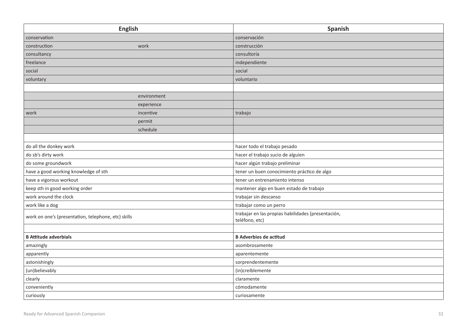| <b>English</b>                                      |             | Spanish                                                              |
|-----------------------------------------------------|-------------|----------------------------------------------------------------------|
| conservation                                        |             | conservación                                                         |
| construction                                        | work        | construcción                                                         |
| consultancy                                         |             | consultoría                                                          |
| freelance                                           |             | independiente                                                        |
| social                                              |             | social                                                               |
| voluntary                                           |             | voluntario                                                           |
|                                                     |             |                                                                      |
|                                                     | environment |                                                                      |
|                                                     | experience  |                                                                      |
| work                                                | incentive   | trabajo                                                              |
|                                                     | permit      |                                                                      |
|                                                     | schedule    |                                                                      |
|                                                     |             |                                                                      |
| do all the donkey work                              |             | hacer todo el trabajo pesado                                         |
| do sb's dirty work                                  |             | hacer el trabajo sucio de alguien                                    |
| do some groundwork                                  |             | hacer algún trabajo preliminar                                       |
| have a good working knowledge of sth                |             | tener un buen conocimiento práctico de algo                          |
| have a vigorous workout                             |             | tener un entrenamiento intenso                                       |
| keep sth in good working order                      |             | mantener algo en buen estado de trabajo                              |
| work around the clock                               |             | trabajar sin descanso                                                |
| work like a dog                                     |             | trabajar como un perro                                               |
| work on one's (presentation, telephone, etc) skills |             | trabajar en las propias habilidades (presentación,<br>teléfono, etc) |
|                                                     |             |                                                                      |
| <b>B Attitude adverbials</b>                        |             | <b>B Adverbios de actitud</b>                                        |
| amazingly                                           |             | asombrosamente                                                       |
| apparently                                          |             | aparentemente                                                        |
| astonishingly                                       |             | sorprendentemente                                                    |
| (un)believably                                      |             | (in)creíblemente                                                     |
| clearly                                             |             | claramente                                                           |
| conveniently                                        |             | cómodamente                                                          |
| curiously                                           |             | curiosamente                                                         |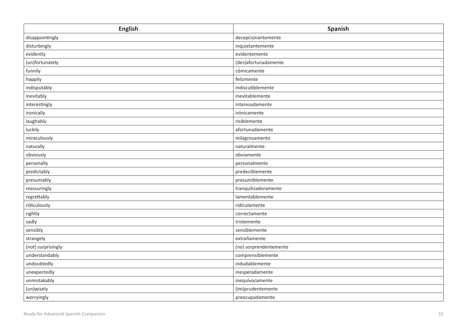| <b>English</b>     | Spanish                |
|--------------------|------------------------|
| disappointingly    | decepcionantemente     |
| disturbingly       | inquietantemente       |
| evidently          | evidentemente          |
| (un)fortunately    | (des)afortunadamente   |
| funnily            | cómicamente            |
| happily            | felizmente             |
| indisputably       | indiscutiblemente      |
| inevitably         | inevitablemente        |
| interestingly      | interesadamente        |
| ironically         | irónicamente           |
| laughably          | risiblemente           |
| luckily            | afortunadamente        |
| miraculously       | milagrosamente         |
| naturally          | naturalmente           |
| obviously          | obviamente             |
| personally         | personalmente          |
| predictably        | predeciblemente        |
| presumably         | presumiblemente        |
| reassuringly       | tranquilizadoramente   |
| regrettably        | lamentablemente        |
| ridiculously       | ridículamente          |
| rightly            | correctamente          |
| sadly              | tristemente            |
| sensibly           | sensiblemente          |
| strangely          | extrañamente           |
| (not) surprisingly | (no) sorprendentemente |
| understandably     | comprensiblemente      |
| undoubtedly        | indudablemente         |
| unexpectedly       | inesperadamente        |
| unmistakably       | inequívocamente        |
| (un)wisely         | (im)prudentemente      |
| worryingly         | preocupadamente        |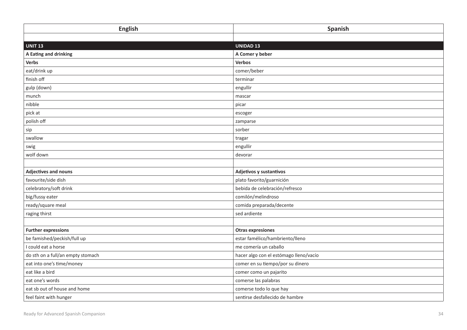| <b>English</b>                    | Spanish                                |
|-----------------------------------|----------------------------------------|
|                                   |                                        |
| <b>UNIT 13</b>                    | <b>UNIDAD 13</b>                       |
| A Eating and drinking             | A Comer y beber                        |
| Verbs                             | Verbos                                 |
| eat/drink up                      | comer/beber                            |
| finish off                        | terminar                               |
| gulp (down)                       | engullir                               |
| munch                             | mascar                                 |
| nibble                            | picar                                  |
| pick at                           | escoger                                |
| polish off                        | zamparse                               |
| sip                               | sorber                                 |
| swallow                           | tragar                                 |
| swig                              | engullir                               |
| wolf down                         | devorar                                |
|                                   |                                        |
| <b>Adjectives and nouns</b>       | Adjetivos y sustantivos                |
| favourite/side dish               | plato favorito/guarnición              |
| celebratory/soft drink            | bebida de celebración/refresco         |
| big/fussy eater                   | comilón/melindroso                     |
| ready/square meal                 | comida preparada/decente               |
| raging thirst                     | sed ardiente                           |
|                                   |                                        |
| <b>Further expressions</b>        | <b>Otras expresiones</b>               |
| be famished/peckish/full up       | estar famélico/hambriento/lleno        |
| I could eat a horse               | me comería un caballo                  |
| do sth on a full/an empty stomach | hacer algo con el estómago lleno/vacío |
| eat into one's time/money         | comer en su tiempo/por su dinero       |
| eat like a bird                   | comer como un pajarito                 |
| eat one's words                   | comerse las palabras                   |
| eat sb out of house and home      | comerse todo lo que hay                |
| feel faint with hunger            | sentirse desfallecido de hambre        |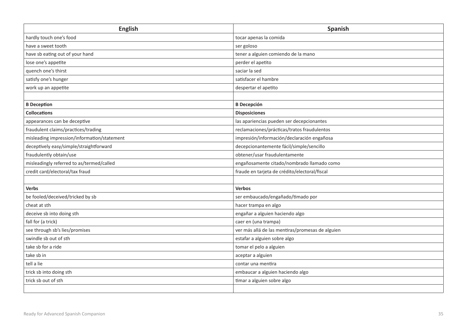| <b>English</b>                              | Spanish                                          |
|---------------------------------------------|--------------------------------------------------|
| hardly touch one's food                     | tocar apenas la comida                           |
| have a sweet tooth                          | ser goloso                                       |
| have sb eating out of your hand             | tener a alguien comiendo de la mano              |
| lose one's appetite                         | perder el apetito                                |
| quench one's thirst                         | saciar la sed                                    |
| satisfy one's hunger                        | satisfacer el hambre                             |
| work up an appetite                         | despertar el apetito                             |
|                                             |                                                  |
| <b>B</b> Deception                          | <b>B</b> Decepción                               |
| <b>Collocations</b>                         | <b>Disposiciones</b>                             |
| appearances can be deceptive                | las apariencias pueden ser decepcionantes        |
| fraudulent claims/practices/trading         | reclamaciones/prácticas/tratos fraudulentos      |
| misleading impression/information/statement | impresión/información/declaración engañosa       |
| deceptively easy/simple/straightforward     | decepcionantemente fácil/simple/sencillo         |
| fraudulently obtain/use                     | obtener/usar fraudulentamente                    |
| misleadingly referred to as/termed/called   | engañosamente citado/nombrado llamado como       |
| credit card/electoral/tax fraud             | fraude en tarjeta de crédito/electoral/fiscal    |
|                                             |                                                  |
| <b>Verbs</b>                                | <b>Verbos</b>                                    |
| be fooled/deceived/tricked by sb            | ser embaucado/engañado/timado por                |
| cheat at sth                                | hacer trampa en algo                             |
| deceive sb into doing sth                   | engañar a alguien haciendo algo                  |
| fall for (a trick)                          | caer en (una trampa)                             |
| see through sb's lies/promises              | ver más allá de las mentiras/promesas de alguien |
| swindle sb out of sth                       | estafar a alguien sobre algo                     |
| take sb for a ride                          | tomar el pelo a alguien                          |
| take sb in                                  | aceptar a alguien                                |
| tell a lie                                  | contar una mentira                               |
| trick sb into doing sth                     | embaucar a alguien haciendo algo                 |
| trick sb out of sth                         | timar a alguien sobre algo                       |
|                                             |                                                  |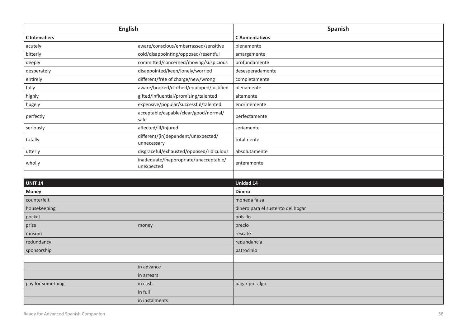| <b>English</b>        |                                                      | Spanish                           |
|-----------------------|------------------------------------------------------|-----------------------------------|
| <b>C</b> Intensifiers |                                                      | <b>C</b> Aumentativos             |
| acutely               | aware/conscious/embarrassed/sensitive                | plenamente                        |
| bitterly              | cold/disappointing/opposed/resentful                 | amargamente                       |
| deeply                | committed/concerned/moving/suspicious                | profundamente                     |
| desperately           | disappointed/keen/lonely/worried                     | desesperadamente                  |
| entirely              | different/free of charge/new/wrong                   | completamente                     |
| fully                 | aware/booked/clothed/equipped/justified              | plenamente                        |
| highly                | gifted/influential/promising/talented                | altamente                         |
| hugely                | expensive/popular/successful/talented                | enormemente                       |
| perfectly             | acceptable/capable/clear/good/normal/<br>safe        | perfectamente                     |
| seriously             | affected/ill/injured                                 | seriamente                        |
| totally               | different/(in)dependent/unexpected/<br>unnecessary   | totalmente                        |
| utterly               | disgraceful/exhausted/opposed/ridiculous             | absolutamente                     |
| wholly                | inadequate/inappropriate/unacceptable/<br>unexpected | enteramente                       |
|                       |                                                      |                                   |
| <b>UNIT 14</b>        |                                                      | <b>Unidad 14</b>                  |
| Money                 |                                                      | <b>Dinero</b>                     |
| counterfeit           |                                                      | moneda falsa                      |
| housekeeping          |                                                      | dinero para el sustento del hogar |
| pocket                |                                                      | bolsillo                          |
| prize                 | money                                                | precio                            |
| ransom                |                                                      | rescate                           |
| redundancy            |                                                      | redundancia                       |
| sponsorship           |                                                      | patrocinio                        |
|                       |                                                      |                                   |
|                       | in advance                                           |                                   |
|                       | in arrears                                           |                                   |
| pay for something     | in cash                                              | pagar por algo                    |
|                       | in full                                              |                                   |
|                       | in instalments                                       |                                   |